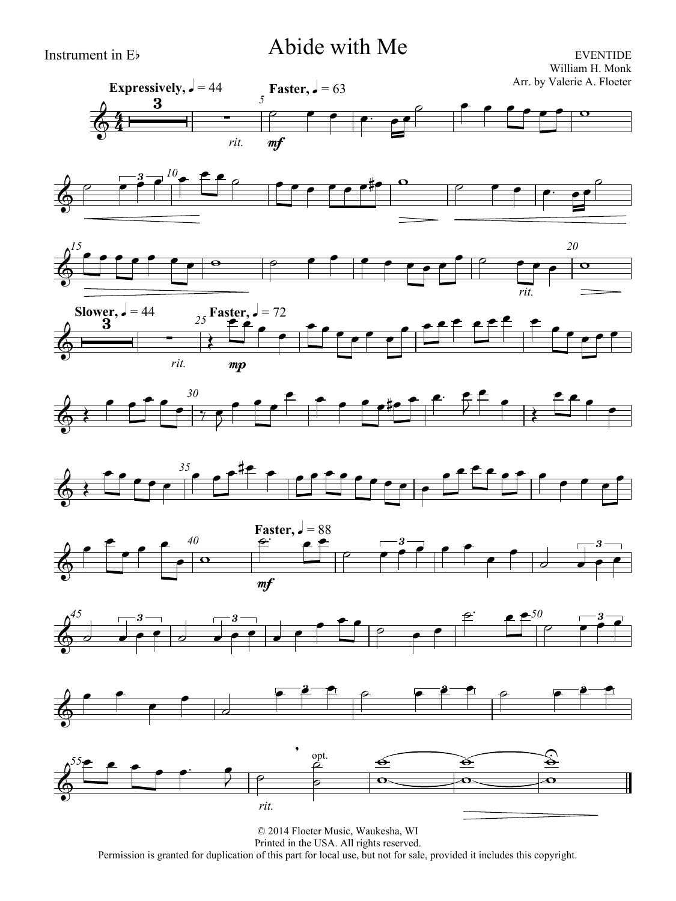# Instrument in Eb Abide with Me

EVENTIDE William H. Monk Arr. by Valerie A. Floeter

















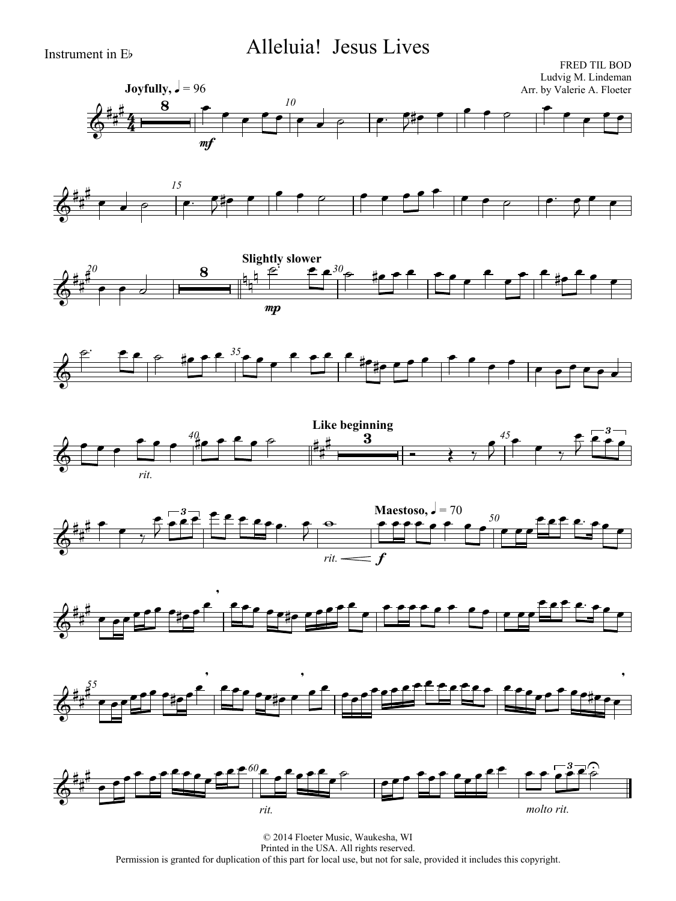# Instrument in Eb Alleluia! Jesus Lives

















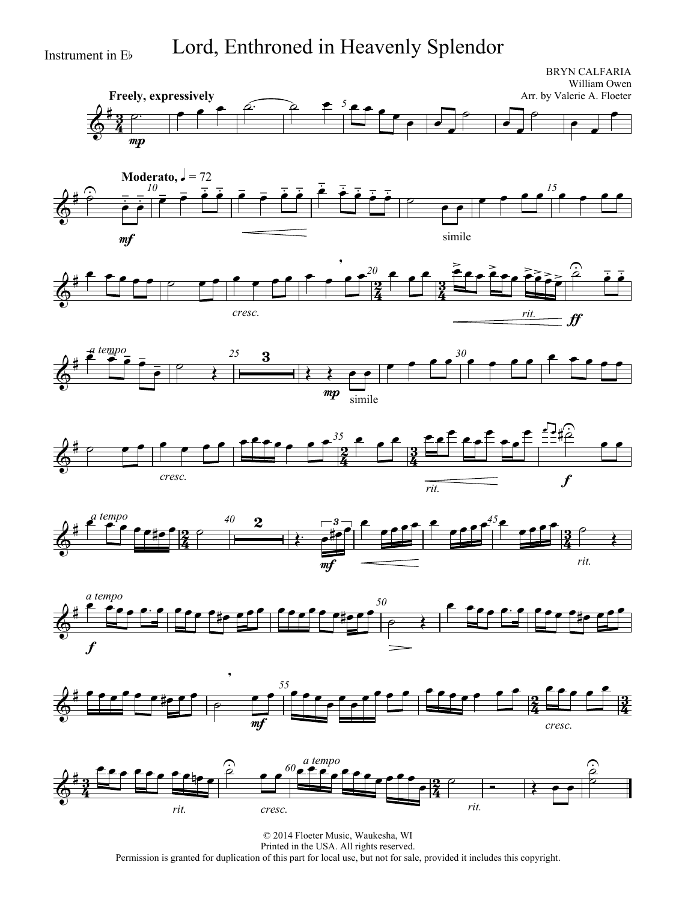Instrument in Eb Lord, Enthroned in Heavenly Splendor

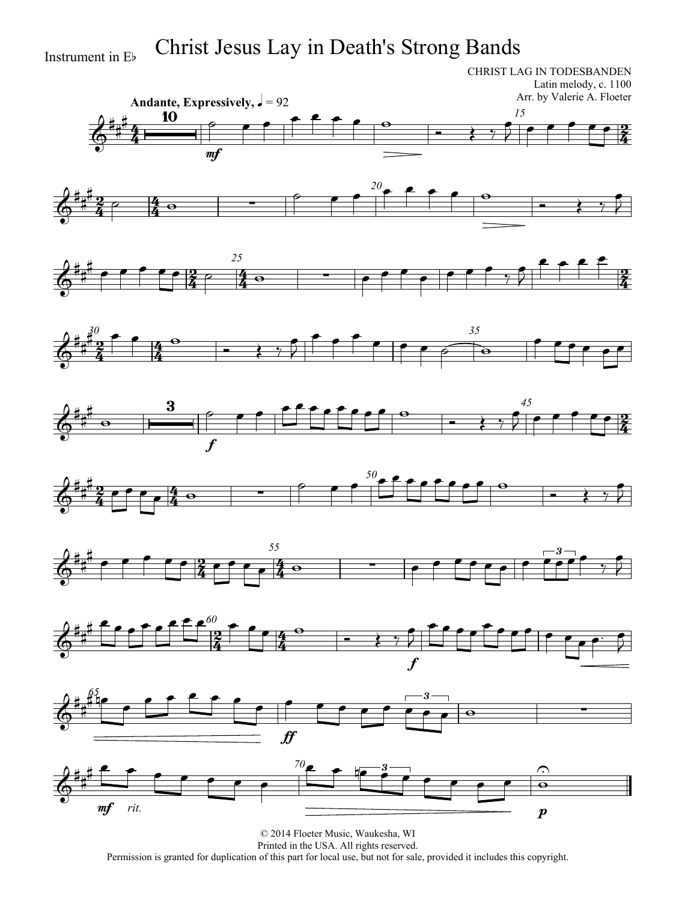Instrument in E<sup>b</sup> Christ Jesus Lay in Death's Strong Bands

CHRIST LAG IN TODESBANDEN Latin melody, c. 1100 Arr. by Valerie A. Floeter



















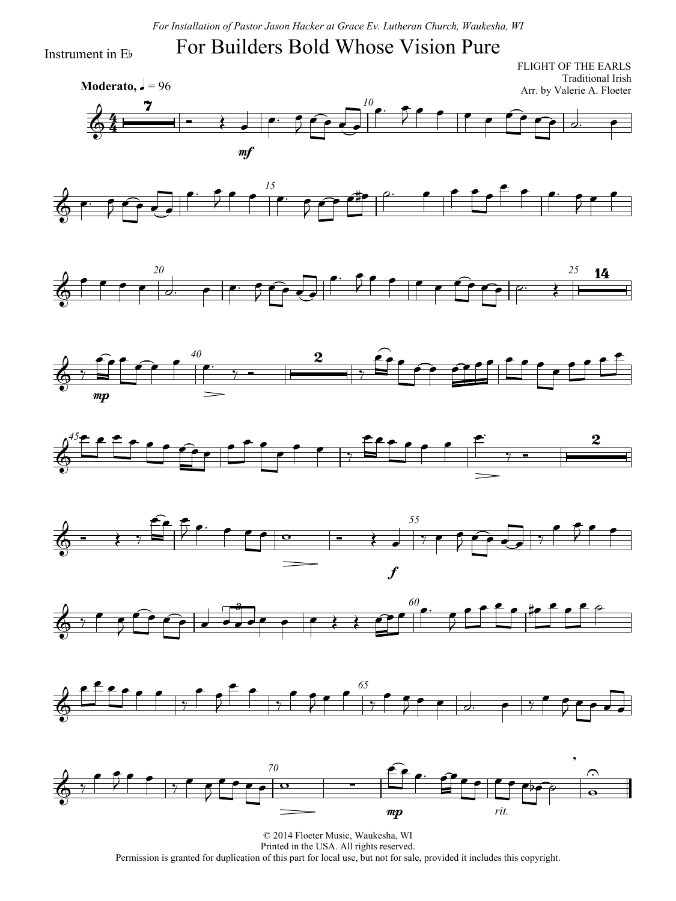#### For Builders Bold Whose Vision Pure

Instrument in Eb

4  $\frac{4}{4}$ **Moderato,**  $\sqrt{ } = 96$ FLIGHT OF THE EARLS Traditional Irish Arr. by Valerie A. Floeter *10*  $\Phi$  $\overline{\mathbf{z}}$  $\overrightarrow{ }$ mf  $\overline{\phantom{a}}$  $\bullet$  f  $\int$  $\bullet$   $\bullet$ 















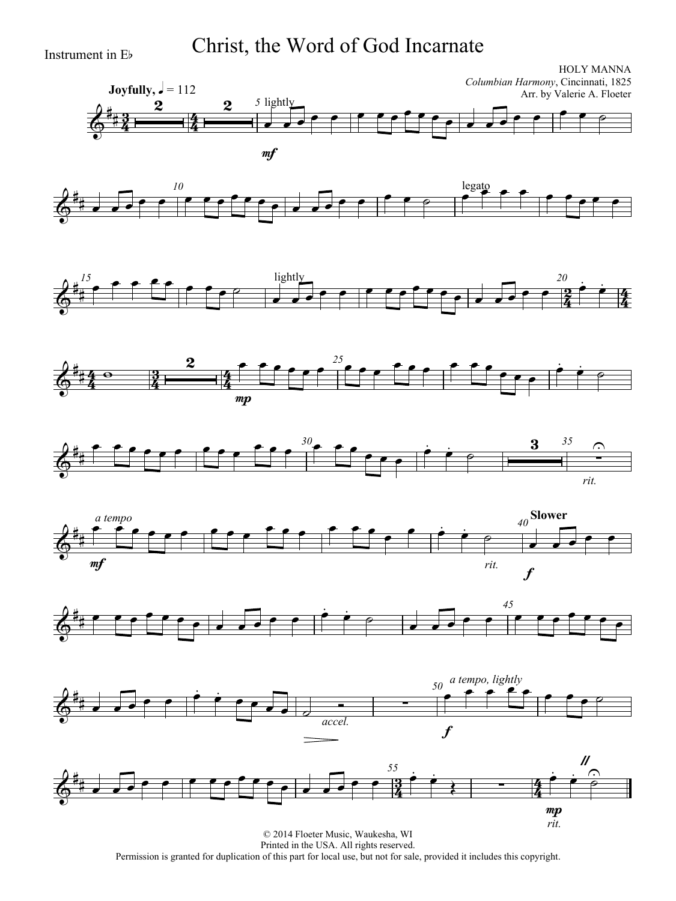Instrument in Eb Christ, the Word of God Incarnate



Permission is granted for duplication of this part for local use, but not for sale, provided it includes this copyright.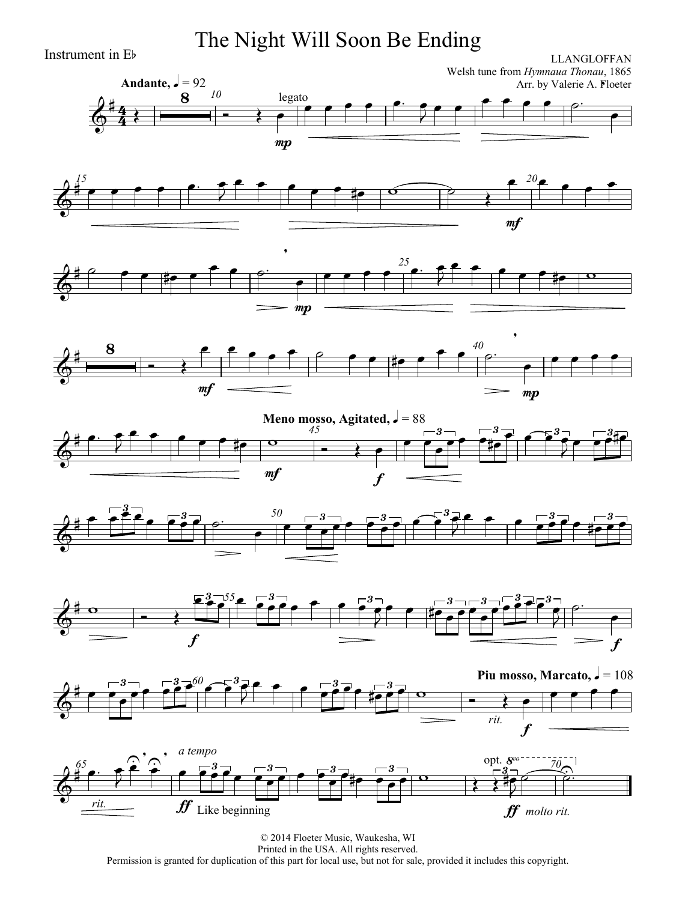Instrument in Eb The Night Will Soon Be Ending